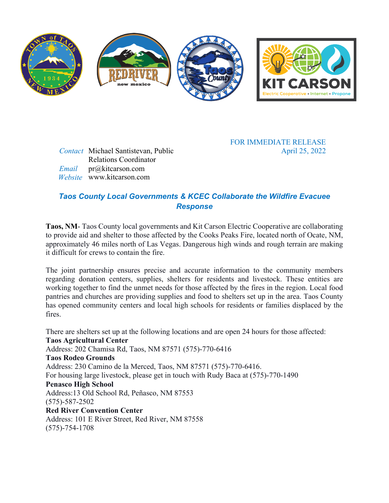

*Contact* Michael Santistevan, Public Relations Coordinator

 *Email* pr@kitcarson.com  *Website* www.kitcarson.com FOR IMMEDIATE RELEASE April 25, 2022

## *Taos County Local Governments & KCEC Collaborate the Wildfire Evacuee Response*

**Taos, NM**- Taos County local governments and Kit Carson Electric Cooperative are collaborating to provide aid and shelter to those affected by the Cooks Peaks Fire, located north of Ocate, NM, approximately 46 miles north of Las Vegas. Dangerous high winds and rough terrain are making it difficult for crews to contain the fire.

The joint partnership ensures precise and accurate information to the community members regarding donation centers, supplies, shelters for residents and livestock. These entities are working together to find the unmet needs for those affected by the fires in the region. Local food pantries and churches are providing supplies and food to shelters set up in the area. Taos County has opened community centers and local high schools for residents or families displaced by the fires.

There are shelters set up at the following locations and are open 24 hours for those affected: **Taos Agricultural Center** Address: 202 Chamisa Rd, Taos, NM 87571 (575)-770-6416 **Taos Rodeo Grounds** Address: 230 Camino de la Merced, Taos, NM 87571 (575)-770-6416. For housing large livestock, please get in touch with Rudy Baca at (575)-770-1490 **Penasco High School** Address:13 Old School Rd, Peñasco, NM 87553 (575)-587-2502 **Red River Convention Center** Address: 101 E River Street, Red River, NM 87558 (575)-754-1708